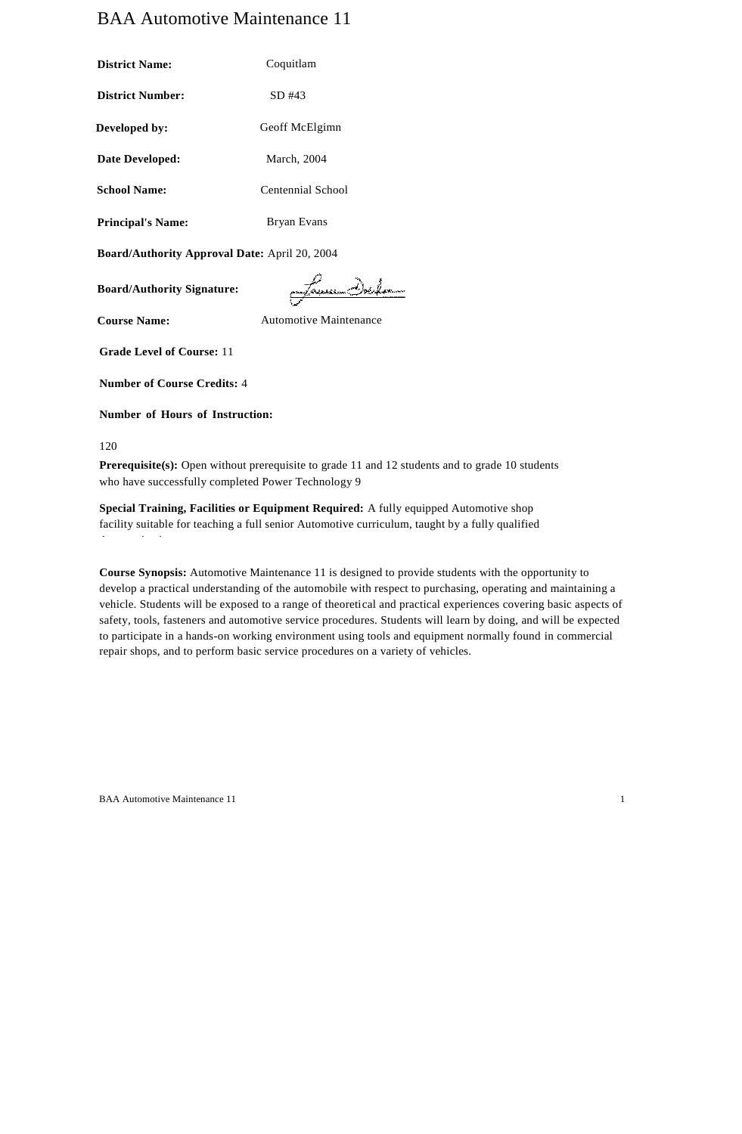# BAA Automotive Maintenance 11

| <b>District Name:</b>    | Coquitlam         |  |
|--------------------------|-------------------|--|
| <b>District Number:</b>  | $SD$ #43          |  |
| Developed by:            | Geoff McElgimn    |  |
| Date Developed:          | March, 2004       |  |
| <b>School Name:</b>      | Centennial School |  |
| <b>Principal's Name:</b> | Bryan Evans       |  |

**Board/Authority Approval Date:** April 20, 2004

**Board/Authority Signature:**

Samo Delm

**Course Name:** Automotive Maintenance

**Grade Level of Course:** 11

**Number of Course Credits:** 4

**Number of Hours of Instruction:**

120

**Prerequisite(s):** Open without prerequisite to grade 11 and 12 students and to grade 10 students who have successfully completed Power Technology 9

**Special Training, Facilities or Equipment Required:** A fully equipped Automotive shop facility suitable for teaching a full senior Automotive curriculum, taught by a fully qualified Automotive instructor

**Course Synopsis:** Automotive Maintenance 11 is designed to provide students with the opportunity to develop a practical understanding of the automobile with respect to purchasing, operating and maintaining a vehicle. Students will be exposed to a range of theoretical and practical experiences covering basic aspects of safety, tools, fasteners and automotive service procedures. Students will learn by doing, and will be expected to participate in a hands-on working environment using tools and equipment normally found in commercial repair shops, and to perform basic service procedures on a variety of vehicles.

BAA Automotive Maintenance 11 1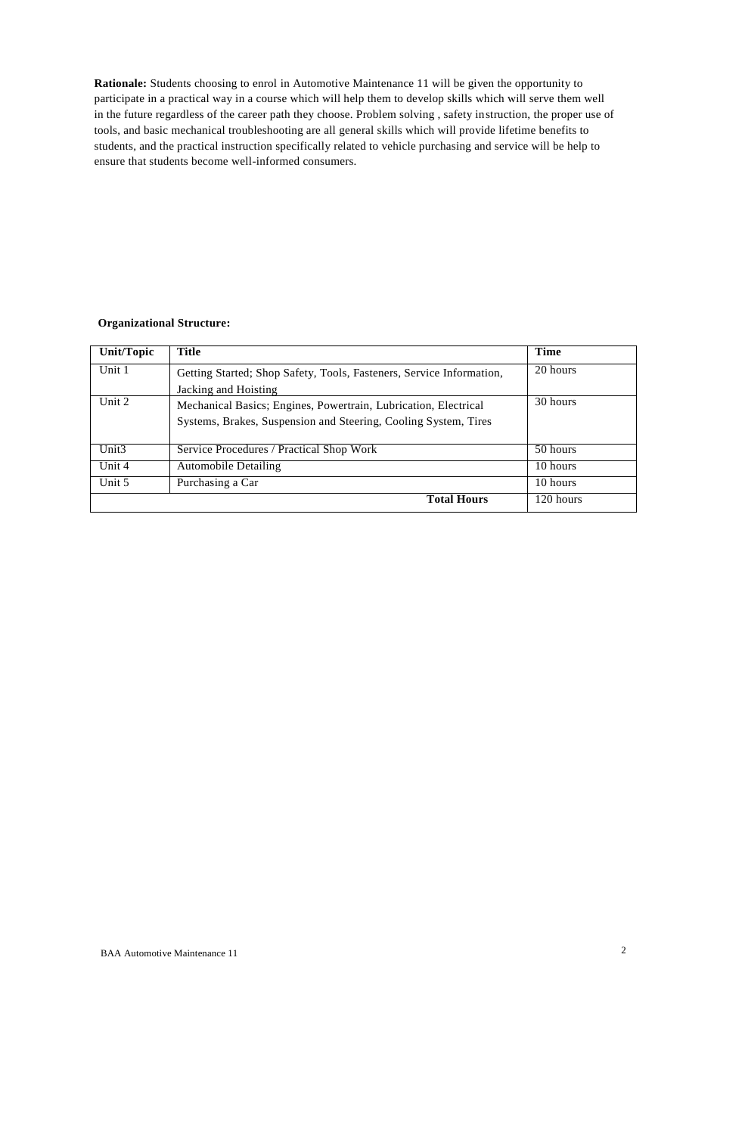**Rationale:** Students choosing to enrol in Automotive Maintenance 11 will be given the opportunity to participate in a practical way in a course which will help them to develop skills which will serve them well in the future regardless of the career path they choose. Problem solving , safety instruction, the proper use of tools, and basic mechanical troubleshooting are all general skills which will provide lifetime benefits to students, and the practical instruction specifically related to vehicle purchasing and service will be help to ensure that students become well-informed consumers.

# **Organizational Structure:**

| Unit/Topic        | Title                                                                | Time      |
|-------------------|----------------------------------------------------------------------|-----------|
| Unit 1            | Getting Started; Shop Safety, Tools, Fasteners, Service Information, | 20 hours  |
|                   | Jacking and Hoisting                                                 |           |
| Unit 2            | Mechanical Basics; Engines, Powertrain, Lubrication, Electrical      | 30 hours  |
|                   | Systems, Brakes, Suspension and Steering, Cooling System, Tires      |           |
|                   |                                                                      |           |
| Unit <sub>3</sub> | Service Procedures / Practical Shop Work                             | 50 hours  |
| Unit 4            | <b>Automobile Detailing</b>                                          | 10 hours  |
| Unit 5            | Purchasing a Car                                                     | 10 hours  |
|                   | <b>Total Hours</b>                                                   | 120 hours |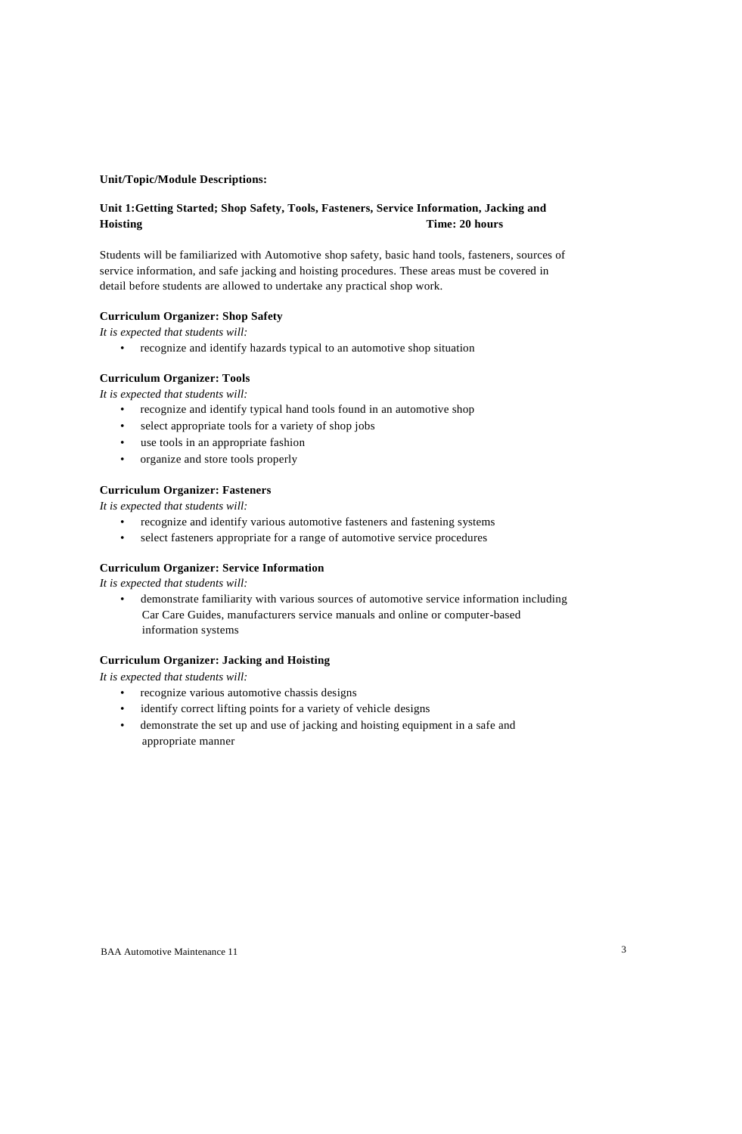#### **Unit/Topic/Module Descriptions:**

# **Unit 1:Getting Started; Shop Safety, Tools, Fasteners, Service Information, Jacking and Hoisting Time: 20 hours**

Students will be familiarized with Automotive shop safety, basic hand tools, fasteners, sources of service information, and safe jacking and hoisting procedures. These areas must be covered in detail before students are allowed to undertake any practical shop work.

#### **Curriculum Organizer: Shop Safety**

*It is expected that students will:*

• recognize and identify hazards typical to an automotive shop situation

### **Curriculum Organizer: Tools**

*It is expected that students will:*

- recognize and identify typical hand tools found in an automotive shop
- select appropriate tools for a variety of shop jobs
- use tools in an appropriate fashion
- organize and store tools properly

#### **Curriculum Organizer: Fasteners**

*It is expected that students will:*

- recognize and identify various automotive fasteners and fastening systems
- select fasteners appropriate for a range of automotive service procedures

#### **Curriculum Organizer: Service Information**

*It is expected that students will:*

• demonstrate familiarity with various sources of automotive service information including Car Care Guides, manufacturers service manuals and online or computer-based information systems

#### **Curriculum Organizer: Jacking and Hoisting**

- recognize various automotive chassis designs
- identify correct lifting points for a variety of vehicle designs
- demonstrate the set up and use of jacking and hoisting equipment in a safe and appropriate manner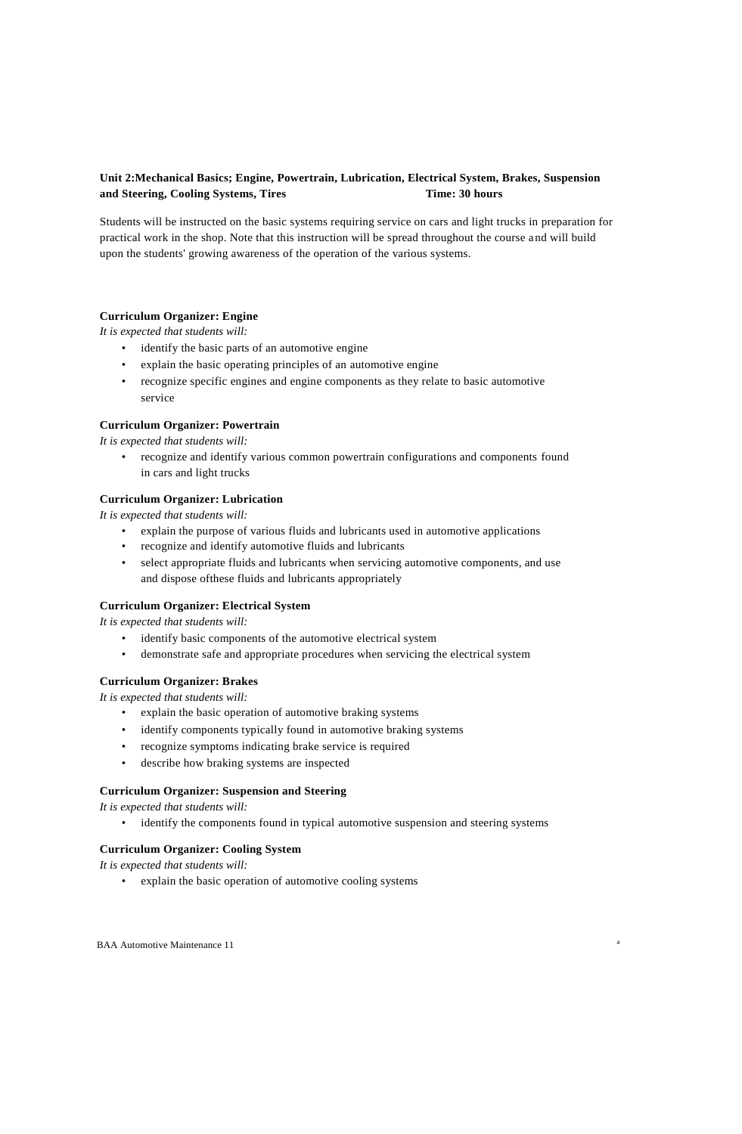# **Unit 2:Mechanical Basics; Engine, Powertrain, Lubrication, Electrical System, Brakes, Suspension and Steering, Cooling Systems, Tires Time: 30 hours**

Students will be instructed on the basic systems requiring service on cars and light trucks in preparation for practical work in the shop. Note that this instruction will be spread throughout the course and will build upon the students' growing awareness of the operation of the various systems.

#### **Curriculum Organizer: Engine**

*It is expected that students will:*

- identify the basic parts of an automotive engine
- explain the basic operating principles of an automotive engine
- recognize specific engines and engine components as they relate to basic automotive service

#### **Curriculum Organizer: Powertrain**

*It is expected that students will:*

• recognize and identify various common powertrain configurations and components found in cars and light trucks

#### **Curriculum Organizer: Lubrication**

*It is expected that students will:*

- explain the purpose of various fluids and lubricants used in automotive applications
- recognize and identify automotive fluids and lubricants
- select appropriate fluids and lubricants when servicing automotive components, and use and dispose ofthese fluids and lubricants appropriately

### **Curriculum Organizer: Electrical System**

*It is expected that students will:*

- identify basic components of the automotive electrical system
- demonstrate safe and appropriate procedures when servicing the electrical system

#### **Curriculum Organizer: Brakes**

*It is expected that students will:*

- explain the basic operation of automotive braking systems
- identify components typically found in automotive braking systems
- recognize symptoms indicating brake service is required
- describe how braking systems are inspected

#### **Curriculum Organizer: Suspension and Steering**

*It is expected that students will:*

• identify the components found in typical automotive suspension and steering systems

#### **Curriculum Organizer: Cooling System**

*It is expected that students will:*

• explain the basic operation of automotive cooling systems

BAA Automotive Maintenance 11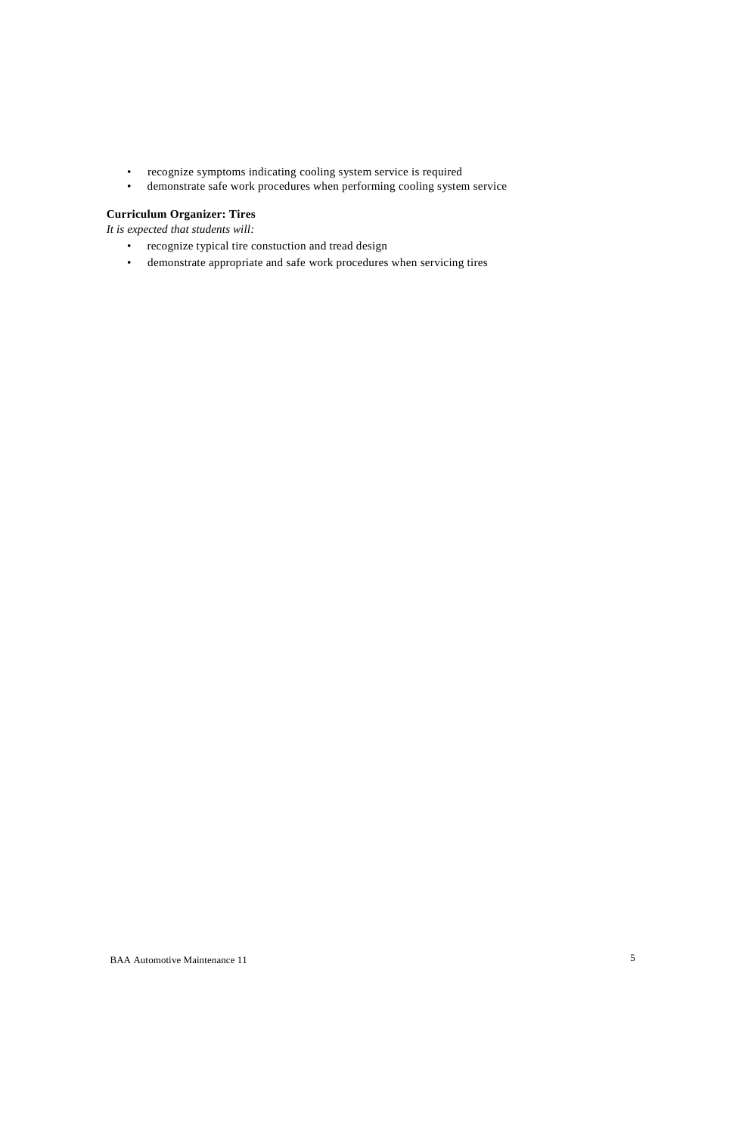- recognize symptoms indicating cooling system service is required
- demonstrate safe work procedures when performing cooling system service

# **Curriculum Organizer: Tires**

- recognize typical tire constuction and tread design
- demonstrate appropriate and safe work procedures when servicing tires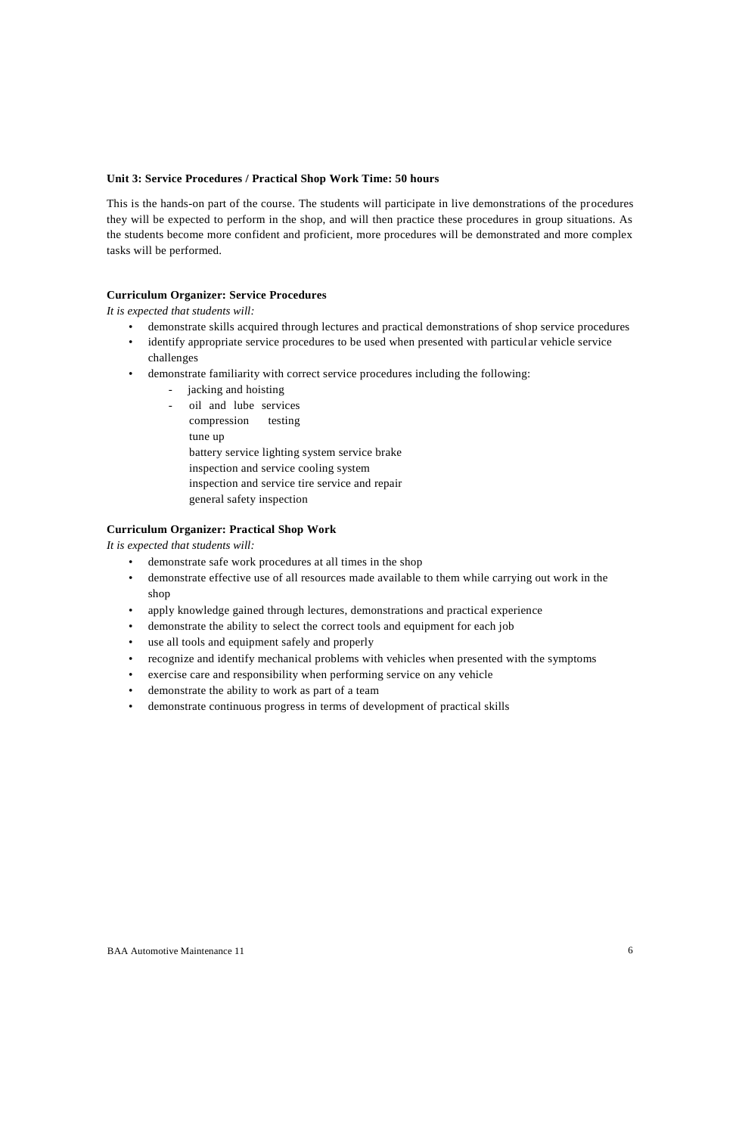#### **Unit 3: Service Procedures / Practical Shop Work Time: 50 hours**

This is the hands-on part of the course. The students will participate in live demonstrations of the procedures they will be expected to perform in the shop, and will then practice these procedures in group situations. As the students become more confident and proficient, more procedures will be demonstrated and more complex tasks will be performed.

#### **Curriculum Organizer: Service Procedures**

*It is expected that students will:*

- demonstrate skills acquired through lectures and practical demonstrations of shop service procedures
- identify appropriate service procedures to be used when presented with particular vehicle service challenges
- demonstrate familiarity with correct service procedures including the following:
	- jacking and hoisting
	- oil and lube services
		- compression testing
		- tune up
		- battery service lighting system service brake
		- inspection and service cooling system
		- inspection and service tire service and repair
		- general safety inspection

# **Curriculum Organizer: Practical Shop Work**

- demonstrate safe work procedures at all times in the shop
- demonstrate effective use of all resources made available to them while carrying out work in the shop
- apply knowledge gained through lectures, demonstrations and practical experience
- demonstrate the ability to select the correct tools and equipment for each job
- use all tools and equipment safely and properly
- recognize and identify mechanical problems with vehicles when presented with the symptoms
- exercise care and responsibility when performing service on any vehicle
- demonstrate the ability to work as part of a team
- demonstrate continuous progress in terms of development of practical skills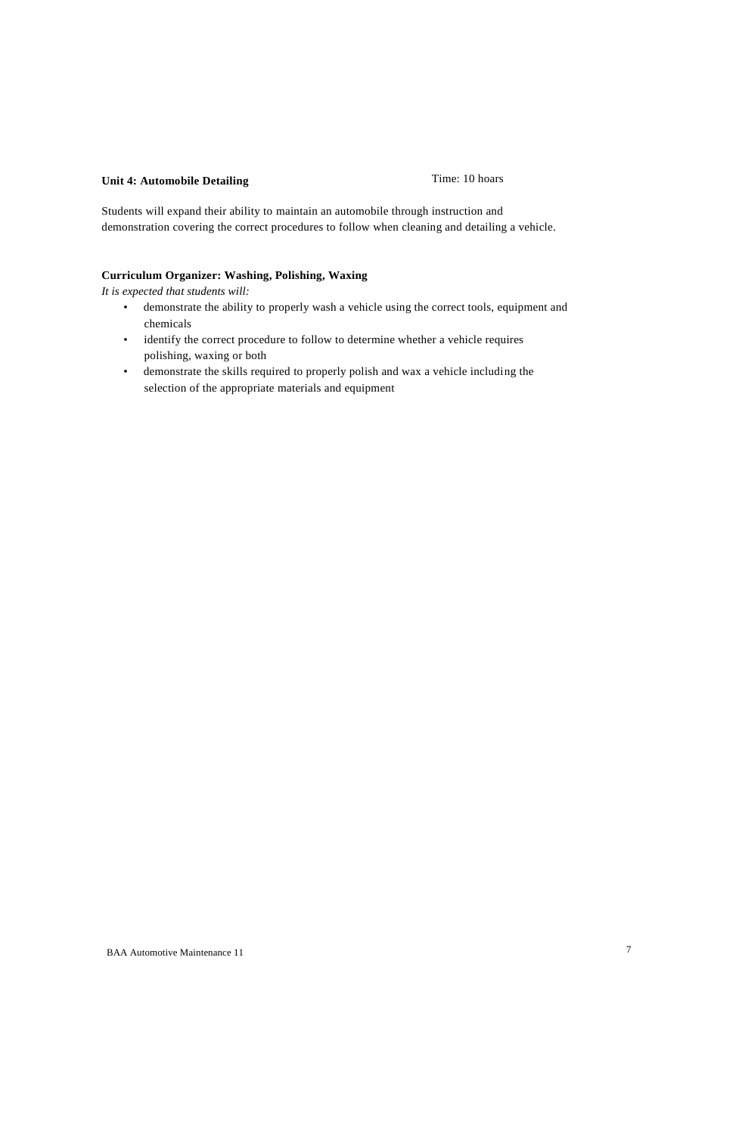# **Unit 4: Automobile Detailing Time: 10 hoars**

Students will expand their ability to maintain an automobile through instruction and demonstration covering the correct procedures to follow when cleaning and detailing a vehicle.

## **Curriculum Organizer: Washing, Polishing, Waxing**

*It is expected that students will:*

- demonstrate the ability to properly wash a vehicle using the correct tools, equipment and chemicals
- identify the correct procedure to follow to determine whether a vehicle requires polishing, waxing or both
- demonstrate the skills required to properly polish and wax a vehicle including the selection of the appropriate materials and equipment

BAA Automotive Maintenance 11 7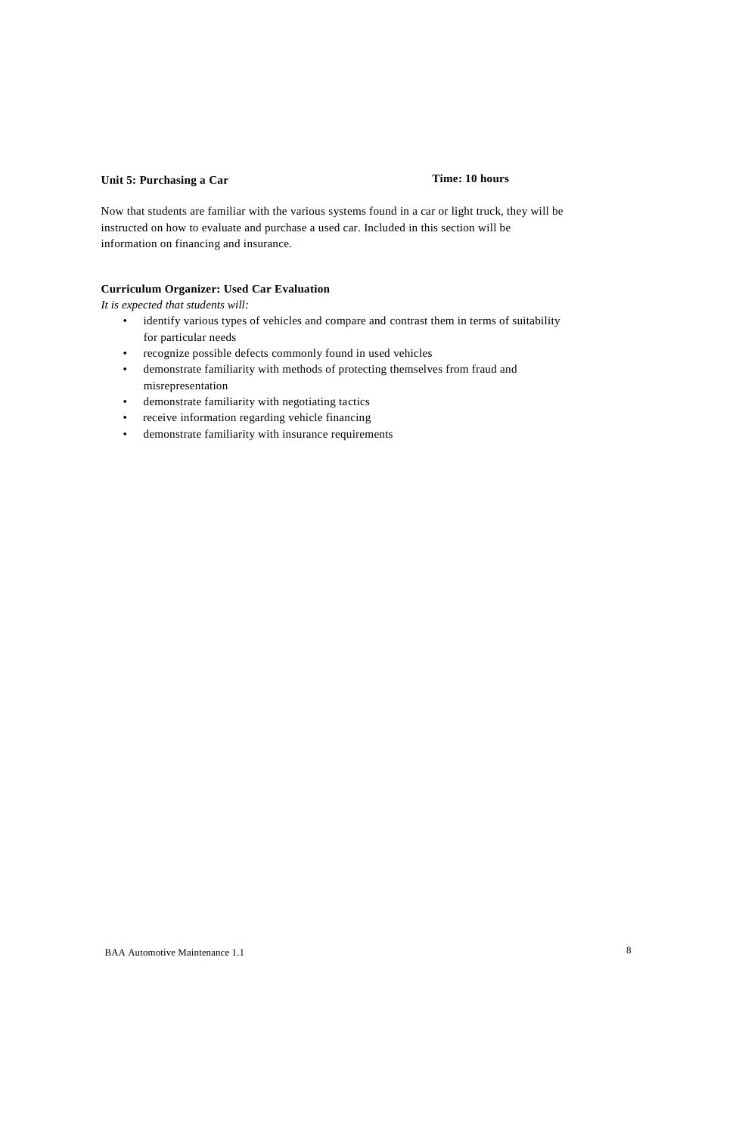# **Unit 5: Purchasing a Car Time: 10 hours**

Now that students are familiar with the various systems found in a car or light truck, they will be instructed on how to evaluate and purchase a used car. Included in this section will be information on financing and insurance.

# **Curriculum Organizer: Used Car Evaluation**

- identify various types of vehicles and compare and contrast them in terms of suitability for particular needs
- recognize possible defects commonly found in used vehicles
- demonstrate familiarity with methods of protecting themselves from fraud and misrepresentation
- demonstrate familiarity with negotiating tactics
- receive information regarding vehicle financing
- demonstrate familiarity with insurance requirements